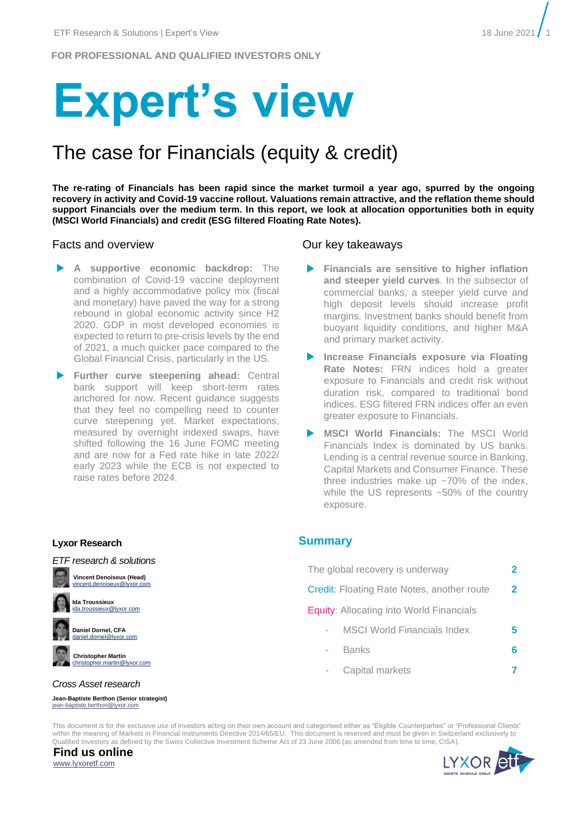**FOR PROFESSIONAL AND QUALIFIED INVESTORS ONLY**

# **Expert's view**

## The case for Financials (equity & credit)

**The re-rating of Financials has been rapid since the market turmoil a year ago, spurred by the ongoing recovery in activity and Covid-19 vaccine rollout. Valuations remain attractive, and the reflation theme should support Financials over the medium term. In this report, we look at allocation opportunities both in equity (MSCI World Financials) and credit (ESG filtered Floating Rate Notes).** 

#### Facts and overview **Example 2018** Our key takeaways

- **A supportive economic backdrop:** The combination of Covid-19 vaccine deployment and a highly accommodative policy mix (fiscal and monetary) have paved the way for a strong rebound in global economic activity since H2 2020. GDP in most developed economies is expected to return to pre-crisis levels by the end of 2021, a much quicker pace compared to the Global Financial Crisis, particularly in the US.
- **Further curve steepening ahead:** Central bank support will keep short-term rates anchored for now. Recent guidance suggests that they feel no compelling need to counter curve steepening yet. Market expectations, measured by overnight indexed swaps, have shifted following the 16 June FOMC meeting and are now for a Fed rate hike in late 2022/ early 2023 while the ECB is not expected to raise rates before 2024.

#### **Lyxor Research**



**Daniel Dornel, CFA** daniel.dornel@lyxor.com

**Christopher Martin** christopher.martin@lyxor.com

#### *Cross Asset research*

**Jean-Baptiste Berthon (Senior strategist)** [jean-baptiste.berthon@lyxor.com](mailto:jean-baptiste.berthon@lyxor.com)

- **Financials are sensitive to higher inflation and steeper yield curves**. In the subsector of commercial banks, a steeper yield curve and high deposit levels should increase profit margins. Investment banks should benefit from buoyant liquidity conditions, and higher M&A and primary market activity.
- **Increase Financials exposure via Floating Rate Notes:** FRN indices hold a greater exposure to Financials and credit risk without duration risk, compared to traditional bond indices. ESG filtered FRN indices offer an even greater exposure to Financials.
- **MSCI World Financials:** The MSCI World Financials Index is dominated by US banks. Lending is a central revenue source in Banking, Capital Markets and Consumer Finance. These three industries make up  $\approx$ 70% of the index. while the US represents ~50% of the country exposure.

#### **Summary**

| The global recovery is underway                   |                                    |   |
|---------------------------------------------------|------------------------------------|---|
| <b>Credit:</b> Floating Rate Notes, another route |                                    |   |
| <b>Equity:</b> Allocating into World Financials   |                                    |   |
|                                                   | <b>MSCI World Financials Index</b> | 5 |
|                                                   | Banks                              | 6 |
|                                                   | Capital markets                    |   |

This document is for the exclusive use of investors acting on their own account and categorised either as "Eligible Counterparties" or "Professional Clients" within the meaning of Markets in Financial Instruments Directive 2014/65/EU. This document is reserved and must be given in Switzerland exclusively to Qualified Investors as defined by the Swiss Collective Investment Scheme Act of 23 June 2006 (as amended from time to time, CISA).



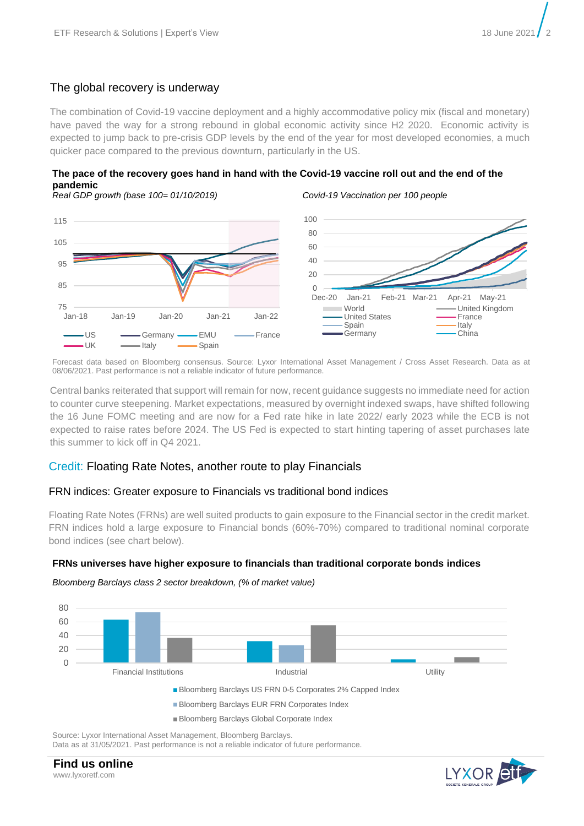## The global recovery is underway

The combination of Covid-19 vaccine deployment and a highly accommodative policy mix (fiscal and monetary) have paved the way for a strong rebound in global economic activity since H2 2020. Economic activity is expected to jump back to pre-crisis GDP levels by the end of the year for most developed economies, a much quicker pace compared to the previous downturn, particularly in the US.



*Real GDP growth (base 100= 01/10/2019) Covid-19 Vaccination per 100 people*





Forecast data based on Bloomberg consensus. Source: Lyxor International Asset Management / Cross Asset Research. Data as at 08/06/2021. Past performance is not a reliable indicator of future performance.

Central banks reiterated that support will remain for now, recent guidance suggests no immediate need for action to counter curve steepening. Market expectations, measured by overnight indexed swaps, have shifted following the 16 June FOMC meeting and are now for a Fed rate hike in late 2022/ early 2023 while the ECB is not expected to raise rates before 2024. The US Fed is expected to start hinting tapering of asset purchases late this summer to kick off in Q4 2021.

#### Credit: Floating Rate Notes, another route to play Financials

#### FRN indices: Greater exposure to Financials vs traditional bond indices

Floating Rate Notes (FRNs) are well suited products to gain exposure to the Financial sector in the credit market. FRN indices hold a large exposure to Financial bonds (60%-70%) compared to traditional nominal corporate bond indices (see chart below).

#### **FRNs universes have higher exposure to financials than traditional corporate bonds indices**





Source: Lyxor International Asset Management, Bloomberg Barclays. Data as at 31/05/2021. Past performance is not a reliable indicator of future performance.

**Find us online** www.lyxoretf.com

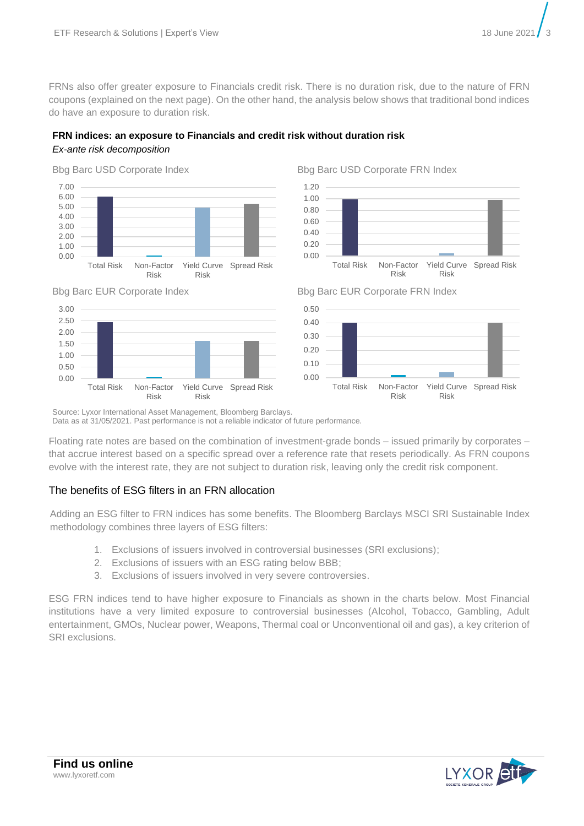FRNs also offer greater exposure to Financials credit risk. There is no duration risk, due to the nature of FRN coupons (explained on the next page). On the other hand, the analysis below shows that traditional bond indices do have an exposure to duration risk.

### **FRN indices: an exposure to Financials and credit risk without duration risk**

#### *Ex-ante risk decomposition*









Bbg Barc EUR Corporate Index Bbg Barc EUR Corporate FRN Index



Source: Lyxor International Asset Management, Bloomberg Barclays.

Data as at 31/05/2021. Past performance is not a reliable indicator of future performance.

Floating rate notes are based on the combination of investment-grade bonds – issued primarily by corporates – that accrue interest based on a specific spread over a reference rate that resets periodically. As FRN coupons evolve with the interest rate, they are not subject to duration risk, leaving only the credit risk component.

#### The benefits of ESG filters in an FRN allocation

Adding an ESG filter to FRN indices has some benefits. The Bloomberg Barclays MSCI SRI Sustainable Index methodology combines three layers of ESG filters:

- 1. Exclusions of issuers involved in controversial businesses (SRI exclusions);
- 2. Exclusions of issuers with an ESG rating below BBB;
- 3. Exclusions of issuers involved in very severe controversies.

ESG FRN indices tend to have higher exposure to Financials as shown in the charts below. Most Financial institutions have a very limited exposure to controversial businesses (Alcohol, Tobacco, Gambling, Adult entertainment, GMOs, Nuclear power, Weapons, Thermal coal or Unconventional oil and gas), a key criterion of SRI exclusions.

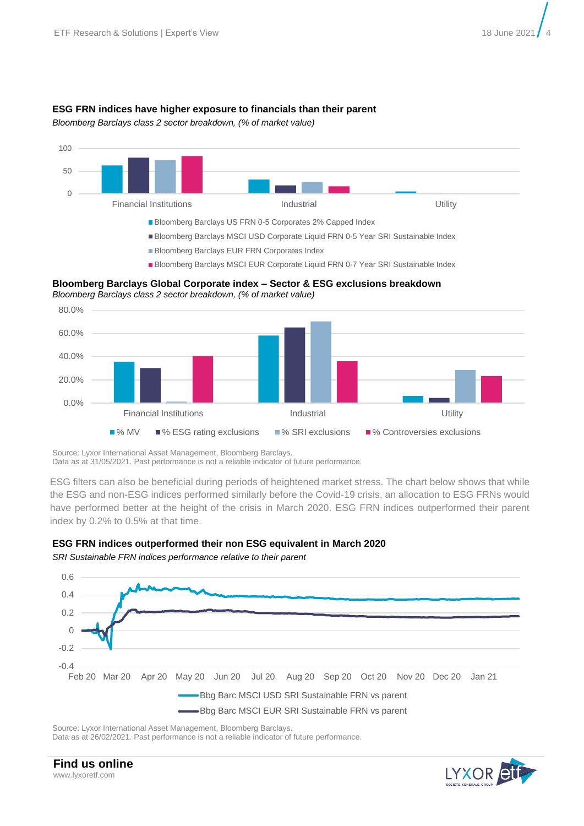#### **ESG FRN indices have higher exposure to financials than their parent**

*Bloomberg Barclays class 2 sector breakdown, (% of market value)*



**Bloomberg Barclays Global Corporate index – Sector & ESG exclusions breakdown** *Bloomberg Barclays class 2 sector breakdown, (% of market value)*



Source: Lyxor International Asset Management, Bloomberg Barclays.

Data as at 31/05/2021. Past performance is not a reliable indicator of future performance.

ESG filters can also be beneficial during periods of heightened market stress. The chart below shows that while the ESG and non-ESG indices performed similarly before the Covid-19 crisis, an allocation to ESG FRNs would have performed better at the height of the crisis in March 2020. ESG FRN indices outperformed their parent index by 0.2% to 0.5% at that time.



*SRI Sustainable FRN indices performance relative to their parent*



Source: Lyxor International Asset Management, Bloomberg Barclays.

Data as at 26/02/2021. Past performance is not a reliable indicator of future performance.

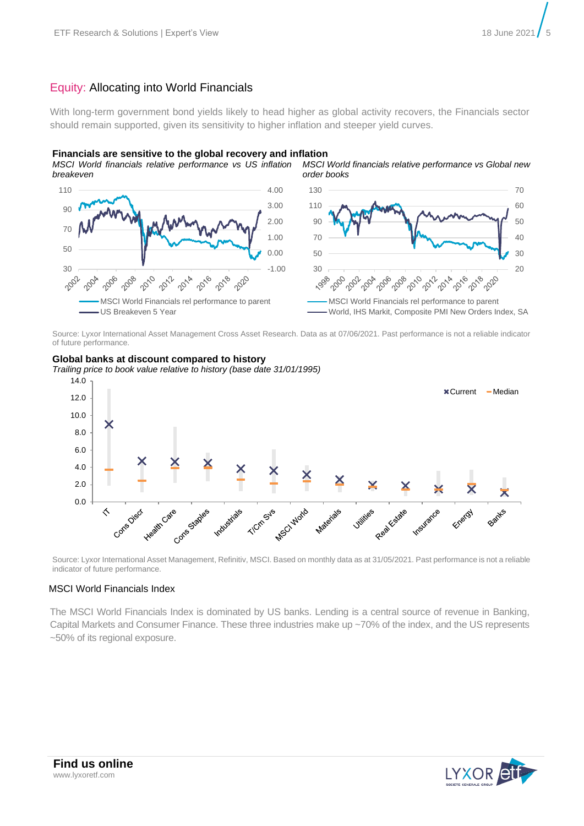#### Equity: Allocating into World Financials

With long-term government bond yields likely to head higher as global activity recovers, the Financials sector should remain supported, given its sensitivity to higher inflation and steeper yield curves.

#### **Financials are sensitive to the global recovery and inflation**

*MSCI World financials relative performance vs US inflation breakeven MSCI World financials relative performance vs Global new order books*



Source: Lyxor International Asset Management Cross Asset Research. Data as at 07/06/2021. Past performance is not a reliable indicator of future performance.



**Global banks at discount compared to history**

Source: Lyxor International Asset Management, Refinitiv, MSCI. Based on monthly data as at 31/05/2021. Past performance is not a reliable indicator of future performance.

#### MSCI World Financials Index

The MSCI World Financials Index is dominated by US banks. Lending is a central source of revenue in Banking, Capital Markets and Consumer Finance. These three industries make up ~70% of the index, and the US represents ~50% of its regional exposure.

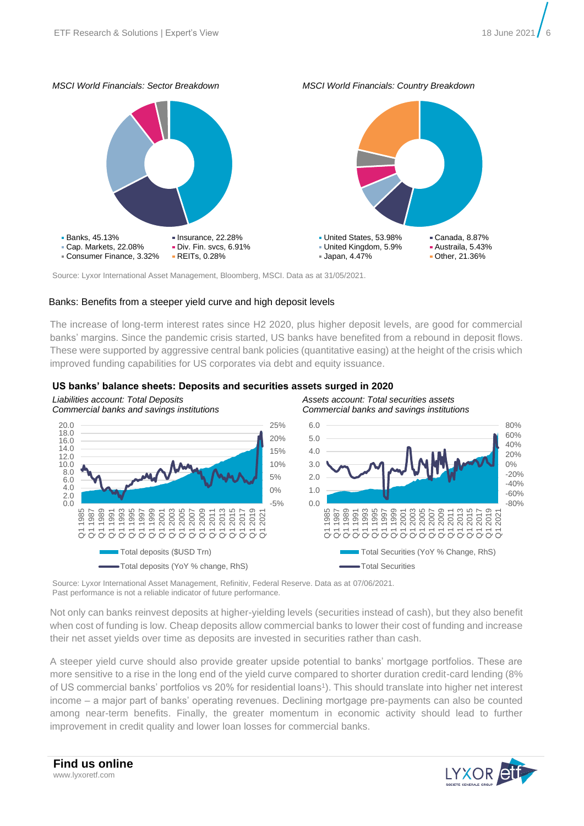# *MSCI World Financials: Sector Breakdown MSCI World Financials: Country Breakdown* **Banks, 45.13%** Insurance, 22.28% Cap. Markets, 22.08% Div. Fin. svcs, 6.91% Consumer Finance, 3.32% REITs, 0.28% United States, 53.98% Canada, 8.87% United Kingdom, 5.9% Austraila, 5.43% Japan, 4.47% Other, 21.36%

Source: Lyxor International Asset Management, Bloomberg, MSCI. Data as at 31/05/2021.

#### Banks: Benefits from a steeper yield curve and high deposit levels

The increase of long-term interest rates since H2 2020, plus higher deposit levels, are good for commercial banks' margins. Since the pandemic crisis started, US banks have benefited from a rebound in deposit flows. These were supported by aggressive central bank policies (quantitative easing) at the height of the crisis which improved funding capabilities for US corporates via debt and equity issuance.

#### **US banks' balance sheets: Deposits and securities assets surged in 2020**



Source: Lyxor International Asset Management, Refinitiv, Federal Reserve. Data as at 07/06/2021. Past performance is not a reliable indicator of future performance.

Not only can banks reinvest deposits at higher-yielding levels (securities instead of cash), but they also benefit when cost of funding is low. Cheap deposits allow commercial banks to lower their cost of funding and increase their net asset yields over time as deposits are invested in securities rather than cash.

A steeper yield curve should also provide greater upside potential to banks' mortgage portfolios. These are more sensitive to a rise in the long end of the yield curve compared to shorter duration credit-card lending (8% of US commercial banks' portfolios vs 20% for residential loans 1 ). This should translate into higher net interest income – a major part of banks' operating revenues. Declining mortgage pre-payments can also be counted among near-term benefits. Finally, the greater momentum in economic activity should lead to further improvement in credit quality and lower loan losses for commercial banks.

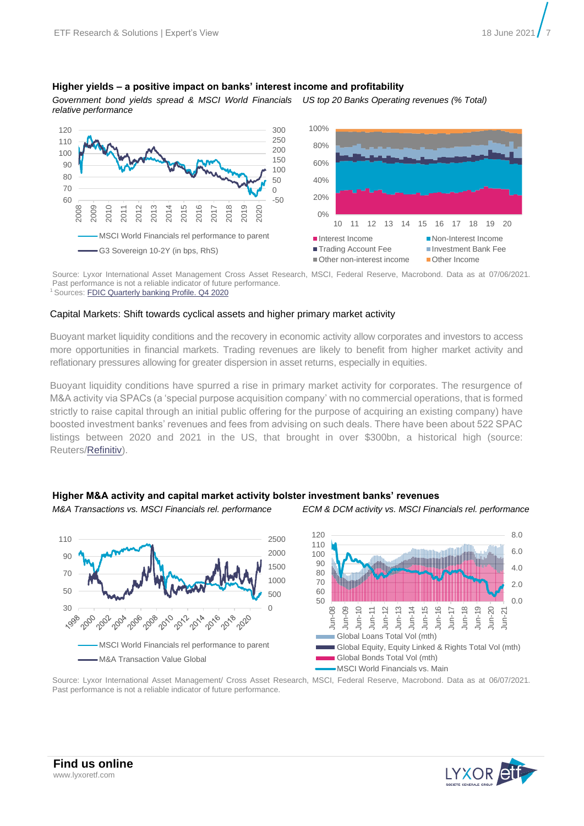#### **Higher yields – a positive impact on banks' interest income and profitability**

*Government bond yields spread & MSCI World Financials relative performance US top 20 Banks Operating revenues (% Total)*



Source: Lyxor International Asset Management Cross Asset Research, MSCI, Federal Reserve, Macrobond. Data as at 07/06/2021. Past performance is not a reliable indicator of future performance. <sup>1</sup> Sources: **FDIC Quarterly banking Profile. Q4 2020** 

#### Capital Markets: Shift towards cyclical assets and higher primary market activity

Buoyant market liquidity conditions and the recovery in economic activity allow corporates and investors to access more opportunities in financial markets. Trading revenues are likely to benefit from higher market activity and reflationary pressures allowing for greater dispersion in asset returns, especially in equities.

Buoyant liquidity conditions have spurred a rise in primary market activity for corporates. The resurgence of M&A activity via SPACs (a 'special purpose acquisition company' with no commercial operations, that is formed strictly to raise capital through an initial public offering for the purpose of acquiring an existing company) have boosted investment banks' revenues and fees from advising on such deals. There have been about 522 SPAC listings between 2020 and 2021 in the US, that brought in over \$300bn, a historical high (source: Reuters[/Refinitiv\)](https://www.reuters.com/article/us-spacs-europe-insight-idUSKBN2BL0FQ).

#### **Higher M&A activity and capital market activity bolster investment banks' revenues**

*M&A Transactions vs. MSCI Financials rel. performance ECM & DCM activity vs. MSCI Financials rel. performance*



**Find us online** www.lyxoretf.com



Source: Lyxor International Asset Management/ Cross Asset Research, MSCI, Federal Reserve, Macrobond. Data as at 06/07/2021. Past performance is not a reliable indicator of future performance.



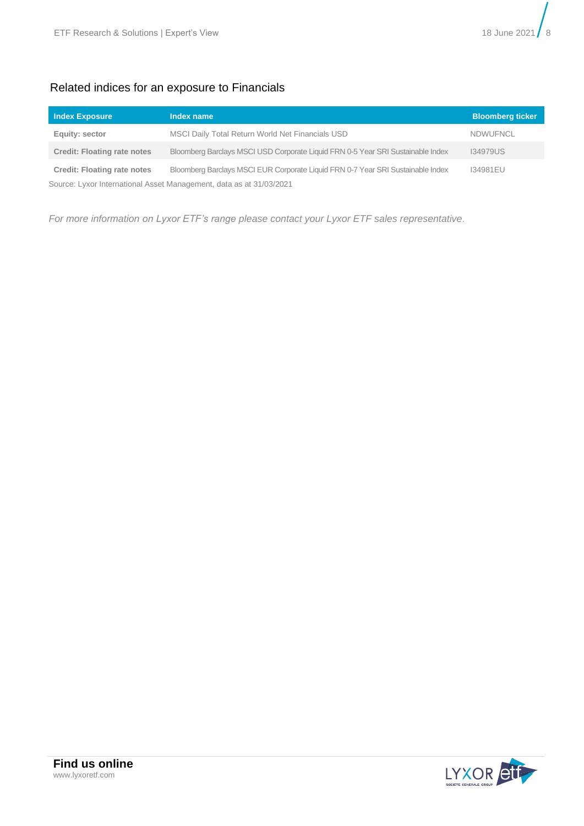

#### Related indices for an exposure to Financials

| <b>Index Exposure</b>                                               | Index name                                                                      | <b>Bloomberg ticker</b> |  |  |
|---------------------------------------------------------------------|---------------------------------------------------------------------------------|-------------------------|--|--|
| Equity: sector                                                      | MSCI Daily Total Return World Net Financials USD                                | <b>NDWUFNCL</b>         |  |  |
| <b>Credit: Floating rate notes</b>                                  | Bloomberg Barclays MSCI USD Corporate Liquid FRN 0-5 Year SRI Sustainable Index | <b>I34979US</b>         |  |  |
| <b>Credit: Floating rate notes</b>                                  | Bloomberg Barclays MSCI EUR Corporate Liquid FRN 0-7 Year SRI Sustainable Index | 134981EU                |  |  |
| Source: Lyxor International Asset Management, data as at 31/03/2021 |                                                                                 |                         |  |  |

*For more information on Lyxor ETF's range please contact your Lyxor ETF sales representative*.

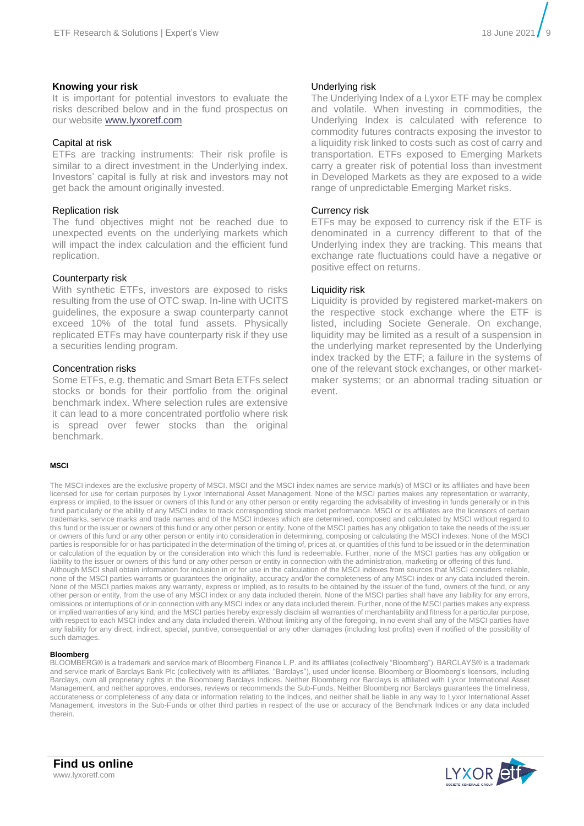#### **Knowing your risk**

It is important for potential investors to evaluate the risks described below and in the fund prospectus on our website [www.lyxoretf.com](http://www.lyxoretf.com/)

#### Capital at risk

ETFs are tracking instruments: Their risk profile is similar to a direct investment in the Underlying index. Investors' capital is fully at risk and investors may not get back the amount originally invested.

#### Replication risk

The fund objectives might not be reached due to unexpected events on the underlying markets which will impact the index calculation and the efficient fund replication.

#### Counterparty risk

With synthetic ETFs, investors are exposed to risks resulting from the use of OTC swap. In-line with UCITS guidelines, the exposure a swap counterparty cannot exceed 10% of the total fund assets. Physically replicated ETFs may have counterparty risk if they use a securities lending program.

#### Concentration risks

Some ETFs, e.g. thematic and Smart Beta ETFs select stocks or bonds for their portfolio from the original benchmark index. Where selection rules are extensive it can lead to a more concentrated portfolio where risk is spread over fewer stocks than the original benchmark.

#### **MSCI**

#### Underlying risk

The Underlying Index of a Lyxor ETF may be complex and volatile. When investing in commodities, the Underlying Index is calculated with reference to commodity futures contracts exposing the investor to a liquidity risk linked to costs such as cost of carry and transportation. ETFs exposed to Emerging Markets carry a greater risk of potential loss than investment in Developed Markets as they are exposed to a wide range of unpredictable Emerging Market risks.

#### Currency risk

ETFs may be exposed to currency risk if the ETF is denominated in a currency different to that of the Underlying index they are tracking. This means that exchange rate fluctuations could have a negative or positive effect on returns.

#### Liquidity risk

Liquidity is provided by registered market-makers on the respective stock exchange where the ETF is listed, including Societe Generale. On exchange, liquidity may be limited as a result of a suspension in the underlying market represented by the Underlying index tracked by the ETF; a failure in the systems of one of the relevant stock exchanges, or other marketmaker systems; or an abnormal trading situation or event.

licensed for use for certain purposes by Lyxor International Asset Management. None of the MSCI parties makes any representation or warranty, express or implied, to the issuer or owners of this fund or any other person or entity regarding the advisability of investing in funds generally or in this fund particularly or the ability of any MSCI index to track corresponding stock market performance. MSCI or its affiliates are the licensors of certain trademarks, service marks and trade names and of the MSCI indexes which are determined, composed and calculated by MSCI without regard to this fund or the issuer or owners of this fund or any other person or entity. None of the MSCI parties has any obligation to take the needs of the issuer or owners of this fund or any other person or entity into consideration in determining, composing or calculating the MSCI indexes. None of the MSCI parties is responsible for or has participated in the determination of the timing of, prices at, or quantities of this fund to be issued or in the determination or calculation of the equation by or the consideration into which this fund is redeemable. Further, none of the MSCI parties has any obligation or liability to the issuer or owners of this fund or any other person or entity in connection with the administration, marketing or offering of this fund. Although MSCI shall obtain information for inclusion in or for use in the calculation of the MSCI indexes from sources that MSCI considers reliable, none of the MSCI parties warrants or guarantees the originality, accuracy and/or the completeness of any MSCI index or any data included therein. None of the MSCI parties makes any warranty, express or implied, as to results to be obtained by the issuer of the fund, owners of the fund, or any other person or entity, from the use of any MSCI index or any data included therein. None of the MSCI parties shall have any liability for any errors, omissions or interruptions of or in connection with any MSCI index or any data included therein. Further, none of the MSCI parties makes any express or implied warranties of any kind, and the MSCI parties hereby expressly disclaim all warranties of merchantability and fitness for a particular purpose, with respect to each MSCI index and any data included therein. Without limiting any of the foregoing, in no event shall any of the MSCI parties have any liability for any direct, indirect, special, punitive, consequential or any other damages (including lost profits) even if notified of the possibility of such damages.

The MSCI indexes are the exclusive property of MSCI. MSCI and the MSCI index names are service mark(s) of MSCI or its affiliates and have been

#### **Bloomberg**

BLOOMBERG® is a trademark and service mark of Bloomberg Finance L.P. and its affiliates (collectively "Bloomberg"). BARCLAYS® is a trademark and service mark of Barclays Bank Plc (collectively with its affiliates, "Barclays"), used under license. Bloomberg or Bloomberg's licensors, including Barclays, own all proprietary rights in the Bloomberg Barclays Indices. Neither Bloomberg nor Barclays is affiliated with Lyxor International Asset Management, and neither approves, endorses, reviews or recommends the Sub-Funds. Neither Bloomberg nor Barclays guarantees the timeliness, accurateness or completeness of any data or information relating to the Indices, and neither shall be liable in any way to Lyxor International Asset Management, investors in the Sub-Funds or other third parties in respect of the use or accuracy of the Benchmark Indices or any data included therein.

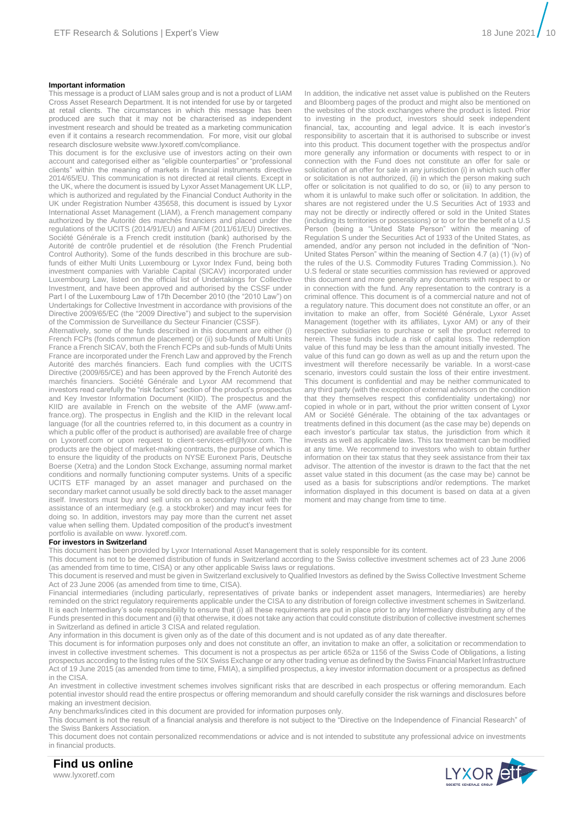#### **Important information**

This message is a product of LIAM sales group and is not a product of LIAM Cross Asset Research Department. It is not intended for use by or targeted at retail clients. The circumstances in which this message has been produced are such that it may not be characterised as independent investment research and should be treated as a marketing communication even if it contains a research recommendation. For more, visit our global research disclosure website www.lyxoretf.com/compliance.

This document is for the exclusive use of investors acting on their own account and categorised either as "eligible counterparties" or "professional clients" within the meaning of markets in financial instruments directive 2014/65/EU. This communication is not directed at retail clients. Except in the UK, where the document is issued by Lyxor Asset Management UK LLP, which is authorized and regulated by the Financial Conduct Authority in the UK under Registration Number 435658, this document is issued by Lyxor International Asset Management (LIAM), a French management company authorized by the Autorité des marchés financiers and placed under the regulations of the UCITS (2014/91/EU) and AIFM (2011/61/EU) Directives. Société Générale is a French credit institution (bank) authorised by the Autorité de contrôle prudentiel et de résolution (the French Prudential Control Authority). Some of the funds described in this brochure are subfunds of either Multi Units Luxembourg or Lyxor Index Fund, being both investment companies with Variable Capital (SICAV) incorporated under Luxembourg Law, listed on the official list of Undertakings for Collective Investment, and have been approved and authorised by the CSSF under Part I of the Luxembourg Law of 17th December 2010 (the "2010 Law") on Undertakings for Collective Investment in accordance with provisions of the Directive 2009/65/EC (the "2009 Directive") and subject to the supervision of the Commission de Surveillance du Secteur Financier (CSSF).

Alternatively, some of the funds described in this document are either (i) French FCPs (fonds commun de placement) or (ii) sub-funds of Multi Units France a French SICAV, both the French FCPs and sub-funds of Multi Units France are incorporated under the French Law and approved by the French Autorité des marchés financiers. Each fund complies with the UCITS Directive (2009/65/CE) and has been approved by the French Autorité des marchés financiers. Société Générale and Lyxor AM recommend that investors read carefully the "risk factors" section of the product's prospectus and Key Investor Information Document (KIID). The prospectus and the KIID are available in French on the website of the AMF (www.amffrance.org). The prospectus in English and the KIID in the relevant local language (for all the countries referred to, in this document as a country in which a public offer of the product is authorised) are available free of charge on Lyxoretf.com or upon request to client-services-etf@lyxor.com. The products are the object of market-making contracts, the purpose of which is to ensure the liquidity of the products on NYSE Euronext Paris, Deutsche Boerse (Xetra) and the London Stock Exchange, assuming normal market conditions and normally functioning computer systems. Units of a specific UCITS ETF managed by an asset manager and purchased on the secondary market cannot usually be sold directly back to the asset manager itself. Investors must buy and sell units on a secondary market with the assistance of an intermediary (e.g. a stockbroker) and may incur fees for doing so. In addition, investors may pay more than the current net asset value when selling them. Updated composition of the product's investment portfolio is available on www. lyxoretf.com.

In addition, the indicative net asset value is published on the Reuters and Bloomberg pages of the product and might also be mentioned on the websites of the stock exchanges where the product is listed. Prior to investing in the product, investors should seek independent financial, tax, accounting and legal advice. It is each investor's responsibility to ascertain that it is authorised to subscribe or invest into this product. This document together with the prospectus and/or more generally any information or documents with respect to or in connection with the Fund does not constitute an offer for sale or solicitation of an offer for sale in any jurisdiction (i) in which such offer or solicitation is not authorized, (ii) in which the person making such offer or solicitation is not qualified to do so, or (iii) to any person to whom it is unlawful to make such offer or solicitation. In addition, the shares are not registered under the U.S Securities Act of 1933 and may not be directly or indirectly offered or sold in the United States (including its territories or possessions) or to or for the benefit of a U.S Person (being a "United State Person" within the meaning of Regulation S under the Securities Act of 1933 of the United States, as amended, and/or any person not included in the definition of "Non-United States Person" within the meaning of Section 4.7 (a) (1) (iv) of the rules of the U.S. Commodity Futures Trading Commission.). No U.S federal or state securities commission has reviewed or approved this document and more generally any documents with respect to or in connection with the fund. Any representation to the contrary is a criminal offence. This document is of a commercial nature and not of a regulatory nature. This document does not constitute an offer, or an invitation to make an offer, from Société Générale, Lyxor Asset Management (together with its affiliates, Lyxor AM) or any of their respective subsidiaries to purchase or sell the product referred to herein. These funds include a risk of capital loss. The redemption value of this fund may be less than the amount initially invested. The value of this fund can go down as well as up and the return upon the investment will therefore necessarily be variable. In a worst-case scenario, investors could sustain the loss of their entire investment. This document is confidential and may be neither communicated to any third party (with the exception of external advisors on the condition that they themselves respect this confidentiality undertaking) nor copied in whole or in part, without the prior written consent of Lyxor AM or Société Générale. The obtaining of the tax advantages or treatments defined in this document (as the case may be) depends on each investor's particular tax status, the jurisdiction from which it invests as well as applicable laws. This tax treatment can be modified at any time. We recommend to investors who wish to obtain further information on their tax status that they seek assistance from their tax advisor. The attention of the investor is drawn to the fact that the net asset value stated in this document (as the case may be) cannot be used as a basis for subscriptions and/or redemptions. The market information displayed in this document is based on data at a given moment and may change from time to time.

#### **For investors in Switzerland**

This document has been provided by Lyxor International Asset Management that is solely responsible for its content.

This document is not to be deemed distribution of funds in Switzerland according to the Swiss collective investment schemes act of 23 June 2006

(as amended from time to time, CISA) or any other applicable Swiss laws or regulations.

This document is reserved and must be given in Switzerland exclusively to Qualified Investors as defined by the Swiss Collective Investment Scheme Act of 23 June 2006 (as amended from time to time, CISA).

Financial intermediaries (including particularly, representatives of private banks or independent asset managers, Intermediaries) are hereby reminded on the strict regulatory requirements applicable under the CISA to any distribution of foreign collective investment schemes in Switzerland. It is each Intermediary's sole responsibility to ensure that (i) all these requirements are put in place prior to any Intermediary distributing any of the Funds presented in this document and (ii) that otherwise, it does not take any action that could constitute distribution of collective investment schemes in Switzerland as defined in article 3 CISA and related regulation.

Any information in this document is given only as of the date of this document and is not updated as of any date thereafter.

This document is for information purposes only and does not constitute an offer, an invitation to make an offer, a solicitation or recommendation to invest in collective investment schemes. This document is not a prospectus as per article 652a or 1156 of the Swiss Code of Obligations, a listing prospectus according to the listing rules of the SIX Swiss Exchange or any other trading venue as defined by the Swiss Financial Market Infrastructure Act of 19 June 2015 (as amended from time to time, FMIA), a simplified prospectus, a key investor information document or a prospectus as defined in the CISA

An investment in collective investment schemes involves significant risks that are described in each prospectus or offering memorandum. Each potential investor should read the entire prospectus or offering memorandum and should carefully consider the risk warnings and disclosures before making an investment decision.

Any benchmarks/indices cited in this document are provided for information purposes only.

This document is not the result of a financial analysis and therefore is not subject to the "Directive on the Independence of Financial Research" of the Swiss Bankers Association.

This document does not contain personalized recommendations or advice and is not intended to substitute any professional advice on investments in financial products.



**Find us online** www.lyxoretf.com